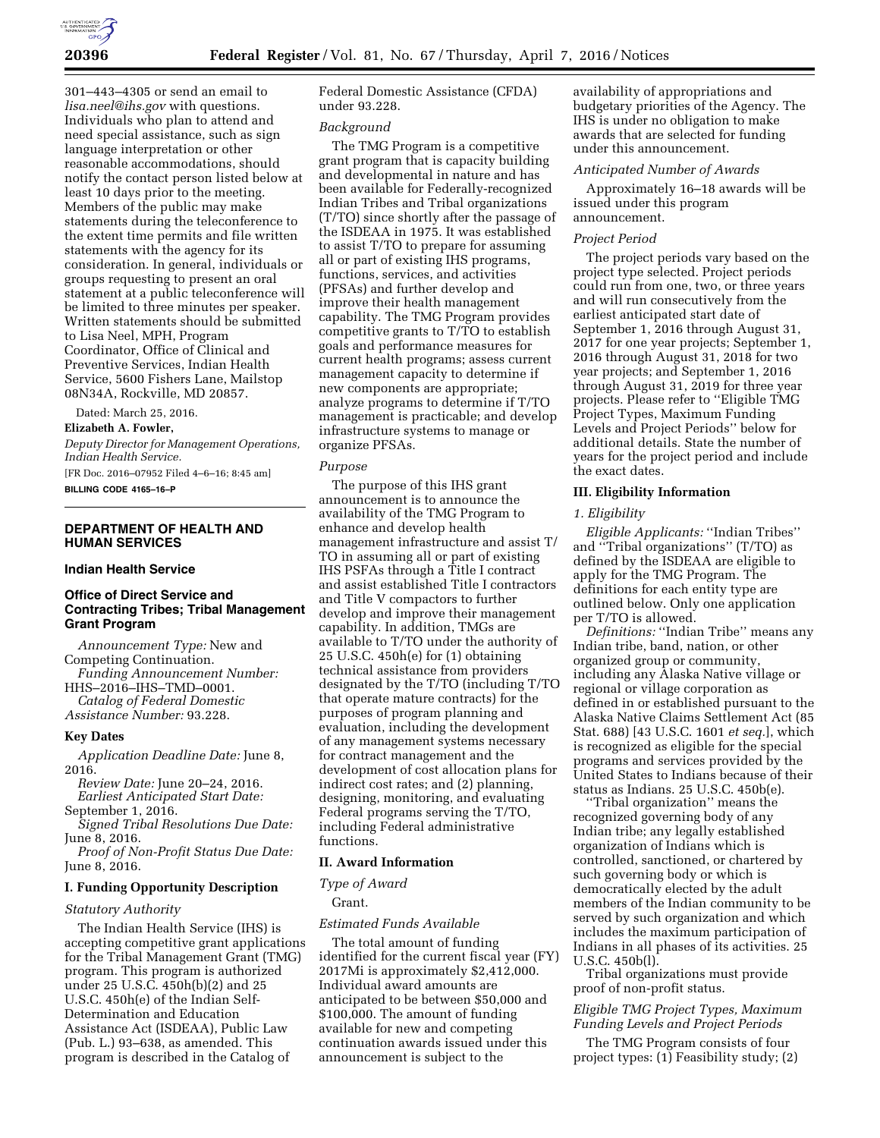

301–443–4305 or send an email to *[lisa.neel@ihs.gov](mailto:lisa.neel@ihs.gov)* with questions. Individuals who plan to attend and need special assistance, such as sign language interpretation or other reasonable accommodations, should notify the contact person listed below at least 10 days prior to the meeting. Members of the public may make statements during the teleconference to the extent time permits and file written statements with the agency for its consideration. In general, individuals or groups requesting to present an oral statement at a public teleconference will be limited to three minutes per speaker. Written statements should be submitted to Lisa Neel, MPH, Program Coordinator, Office of Clinical and Preventive Services, Indian Health Service, 5600 Fishers Lane, Mailstop 08N34A, Rockville, MD 20857.

Dated: March 25, 2016. **Elizabeth A. Fowler,** 

*Deputy Director for Management Operations, Indian Health Service.* 

[FR Doc. 2016–07952 Filed 4–6–16; 8:45 am] **BILLING CODE 4165–16–P** 

# **DEPARTMENT OF HEALTH AND HUMAN SERVICES**

# **Indian Health Service**

# **Office of Direct Service and Contracting Tribes; Tribal Management Grant Program**

*Announcement Type:* New and Competing Continuation. *Funding Announcement Number:*  HHS–2016–IHS–TMD–0001. *Catalog of Federal Domestic Assistance Number:* 93.228.

#### **Key Dates**

*Application Deadline Date:* June 8, 2016.

*Review Date:* June 20–24, 2016. *Earliest Anticipated Start Date:*  September 1, 2016.

*Signed Tribal Resolutions Due Date:*  June 8, 2016.

*Proof of Non-Profit Status Due Date:*  June 8, 2016.

# **I. Funding Opportunity Description**

#### *Statutory Authority*

The Indian Health Service (IHS) is accepting competitive grant applications for the Tribal Management Grant (TMG) program. This program is authorized under 25 U.S.C. 450h(b)(2) and 25 U.S.C. 450h(e) of the Indian Self-Determination and Education Assistance Act (ISDEAA), Public Law (Pub. L.) 93–638, as amended. This program is described in the Catalog of

Federal Domestic Assistance (CFDA) under 93.228.

#### *Background*

The TMG Program is a competitive grant program that is capacity building and developmental in nature and has been available for Federally-recognized Indian Tribes and Tribal organizations (T/TO) since shortly after the passage of the ISDEAA in 1975. It was established to assist T/TO to prepare for assuming all or part of existing IHS programs, functions, services, and activities (PFSAs) and further develop and improve their health management capability. The TMG Program provides competitive grants to T/TO to establish goals and performance measures for current health programs; assess current management capacity to determine if new components are appropriate; analyze programs to determine if T/TO management is practicable; and develop infrastructure systems to manage or organize PFSAs.

## *Purpose*

The purpose of this IHS grant announcement is to announce the availability of the TMG Program to enhance and develop health management infrastructure and assist T/ TO in assuming all or part of existing IHS PSFAs through a Title I contract and assist established Title I contractors and Title V compactors to further develop and improve their management capability. In addition, TMGs are available to T/TO under the authority of 25 U.S.C. 450h(e) for (1) obtaining technical assistance from providers designated by the T/TO (including T/TO that operate mature contracts) for the purposes of program planning and evaluation, including the development of any management systems necessary for contract management and the development of cost allocation plans for indirect cost rates; and (2) planning, designing, monitoring, and evaluating Federal programs serving the T/TO, including Federal administrative functions.

# **II. Award Information**

#### *Type of Award*

Grant.

### *Estimated Funds Available*

The total amount of funding identified for the current fiscal year (FY) 2017Mi is approximately \$2,412,000. Individual award amounts are anticipated to be between \$50,000 and \$100,000. The amount of funding available for new and competing continuation awards issued under this announcement is subject to the

availability of appropriations and budgetary priorities of the Agency. The IHS is under no obligation to make awards that are selected for funding under this announcement.

#### *Anticipated Number of Awards*

Approximately 16–18 awards will be issued under this program announcement.

#### *Project Period*

The project periods vary based on the project type selected. Project periods could run from one, two, or three years and will run consecutively from the earliest anticipated start date of September 1, 2016 through August 31, 2017 for one year projects; September 1, 2016 through August 31, 2018 for two year projects; and September 1, 2016 through August 31, 2019 for three year projects. Please refer to ''Eligible TMG Project Types, Maximum Funding Levels and Project Periods'' below for additional details. State the number of years for the project period and include the exact dates.

#### **III. Eligibility Information**

### *1. Eligibility*

*Eligible Applicants:* ''Indian Tribes'' and ''Tribal organizations'' (T/TO) as defined by the ISDEAA are eligible to apply for the TMG Program. The definitions for each entity type are outlined below. Only one application per T/TO is allowed.

*Definitions:* ''Indian Tribe'' means any Indian tribe, band, nation, or other organized group or community, including any Alaska Native village or regional or village corporation as defined in or established pursuant to the Alaska Native Claims Settlement Act (85 Stat. 688) [43 U.S.C. 1601 *et seq.*], which is recognized as eligible for the special programs and services provided by the United States to Indians because of their status as Indians. 25 U.S.C. 450b(e).

''Tribal organization'' means the recognized governing body of any Indian tribe; any legally established organization of Indians which is controlled, sanctioned, or chartered by such governing body or which is democratically elected by the adult members of the Indian community to be served by such organization and which includes the maximum participation of Indians in all phases of its activities. 25 U.S.C. 450b(l).

Tribal organizations must provide proof of non-profit status.

# *Eligible TMG Project Types, Maximum Funding Levels and Project Periods*

The TMG Program consists of four project types: (1) Feasibility study; (2)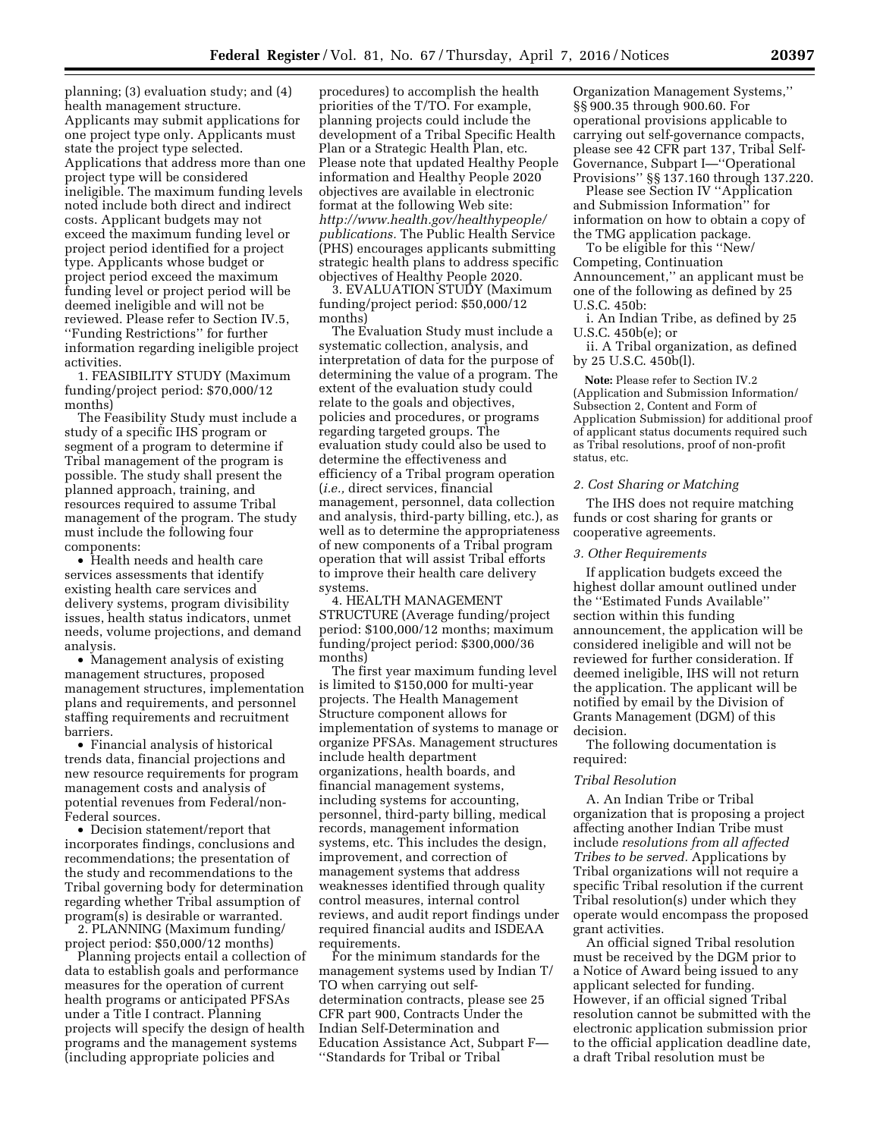planning; (3) evaluation study; and (4) health management structure. Applicants may submit applications for one project type only. Applicants must state the project type selected. Applications that address more than one project type will be considered ineligible. The maximum funding levels noted include both direct and indirect costs. Applicant budgets may not exceed the maximum funding level or project period identified for a project type. Applicants whose budget or project period exceed the maximum funding level or project period will be deemed ineligible and will not be reviewed. Please refer to Section IV.5, ''Funding Restrictions'' for further information regarding ineligible project activities.

1. FEASIBILITY STUDY (Maximum funding/project period: \$70,000/12 months)

The Feasibility Study must include a study of a specific IHS program or segment of a program to determine if Tribal management of the program is possible. The study shall present the planned approach, training, and resources required to assume Tribal management of the program. The study must include the following four components:

• Health needs and health care services assessments that identify existing health care services and delivery systems, program divisibility issues, health status indicators, unmet needs, volume projections, and demand analysis.

• Management analysis of existing management structures, proposed management structures, implementation plans and requirements, and personnel staffing requirements and recruitment barriers.

• Financial analysis of historical trends data, financial projections and new resource requirements for program management costs and analysis of potential revenues from Federal/non-Federal sources.

• Decision statement/report that incorporates findings, conclusions and recommendations; the presentation of the study and recommendations to the Tribal governing body for determination regarding whether Tribal assumption of program(s) is desirable or warranted.

2. PLANNING (Maximum funding/ project period: \$50,000/12 months)

Planning projects entail a collection of data to establish goals and performance measures for the operation of current health programs or anticipated PFSAs under a Title I contract. Planning projects will specify the design of health programs and the management systems (including appropriate policies and

procedures) to accomplish the health priorities of the T/TO. For example, planning projects could include the development of a Tribal Specific Health Plan or a Strategic Health Plan, etc. Please note that updated Healthy People information and Healthy People 2020 objectives are available in electronic format at the following Web site: *[http://www.health.gov/healthypeople/](http://www.health.gov/healthypeople/publications) [publications.](http://www.health.gov/healthypeople/publications)* The Public Health Service (PHS) encourages applicants submitting strategic health plans to address specific objectives of Healthy People 2020.

3. EVALUATION STUDY (Maximum funding/project period: \$50,000/12 months)

The Evaluation Study must include a systematic collection, analysis, and interpretation of data for the purpose of determining the value of a program. The extent of the evaluation study could relate to the goals and objectives, policies and procedures, or programs regarding targeted groups. The evaluation study could also be used to determine the effectiveness and efficiency of a Tribal program operation (*i.e.,* direct services, financial management, personnel, data collection and analysis, third-party billing, etc.), as well as to determine the appropriateness of new components of a Tribal program operation that will assist Tribal efforts to improve their health care delivery systems.

4. HEALTH MANAGEMENT STRUCTURE (Average funding/project period: \$100,000/12 months; maximum funding/project period: \$300,000/36 months)

The first year maximum funding level is limited to \$150,000 for multi-year projects. The Health Management Structure component allows for implementation of systems to manage or organize PFSAs. Management structures include health department organizations, health boards, and financial management systems, including systems for accounting, personnel, third-party billing, medical records, management information systems, etc. This includes the design, improvement, and correction of management systems that address weaknesses identified through quality control measures, internal control reviews, and audit report findings under required financial audits and ISDEAA requirements.

For the minimum standards for the management systems used by Indian T/ TO when carrying out selfdetermination contracts, please see 25 CFR part 900, Contracts Under the Indian Self-Determination and Education Assistance Act, Subpart F— ''Standards for Tribal or Tribal

Organization Management Systems,'' §§ 900.35 through 900.60. For operational provisions applicable to carrying out self-governance compacts, please see 42 CFR part 137, Tribal Self-Governance, Subpart I—''Operational Provisions'' §§ 137.160 through 137.220.

Please see Section IV ''Application and Submission Information'' for information on how to obtain a copy of the TMG application package.

To be eligible for this ''New/ Competing, Continuation Announcement,'' an applicant must be one of the following as defined by 25 U.S.C. 450b:

i. An Indian Tribe, as defined by 25 U.S.C. 450b(e); or

ii. A Tribal organization, as defined by 25 U.S.C. 450b(l).

**Note:** Please refer to Section IV.2 (Application and Submission Information/ Subsection 2, Content and Form of Application Submission) for additional proof of applicant status documents required such as Tribal resolutions, proof of non-profit status, etc.

## *2. Cost Sharing or Matching*

The IHS does not require matching funds or cost sharing for grants or cooperative agreements.

### *3. Other Requirements*

If application budgets exceed the highest dollar amount outlined under the ''Estimated Funds Available'' section within this funding announcement, the application will be considered ineligible and will not be reviewed for further consideration. If deemed ineligible, IHS will not return the application. The applicant will be notified by email by the Division of Grants Management (DGM) of this decision.

The following documentation is required:

### *Tribal Resolution*

A. An Indian Tribe or Tribal organization that is proposing a project affecting another Indian Tribe must include *resolutions from all affected Tribes to be served.* Applications by Tribal organizations will not require a specific Tribal resolution if the current Tribal resolution(s) under which they operate would encompass the proposed grant activities.

An official signed Tribal resolution must be received by the DGM prior to a Notice of Award being issued to any applicant selected for funding. However, if an official signed Tribal resolution cannot be submitted with the electronic application submission prior to the official application deadline date, a draft Tribal resolution must be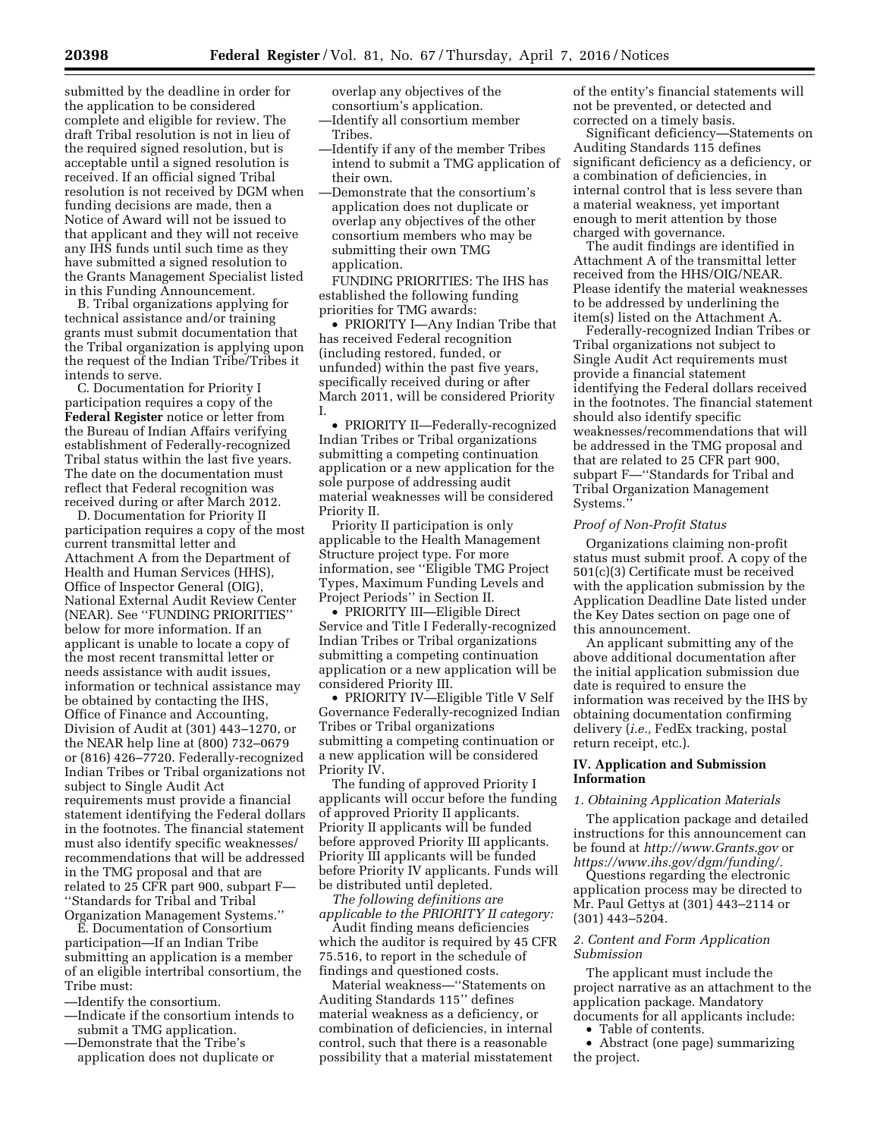submitted by the deadline in order for the application to be considered complete and eligible for review. The draft Tribal resolution is not in lieu of the required signed resolution, but is acceptable until a signed resolution is received. If an official signed Tribal resolution is not received by DGM when funding decisions are made, then a Notice of Award will not be issued to that applicant and they will not receive any IHS funds until such time as they have submitted a signed resolution to the Grants Management Specialist listed in this Funding Announcement.

B. Tribal organizations applying for technical assistance and/or training grants must submit documentation that the Tribal organization is applying upon the request of the Indian Tribe/Tribes it intends to serve.

C. Documentation for Priority I participation requires a copy of the **Federal Register** notice or letter from the Bureau of Indian Affairs verifying establishment of Federally-recognized Tribal status within the last five years. The date on the documentation must reflect that Federal recognition was received during or after March 2012.

D. Documentation for Priority II participation requires a copy of the most current transmittal letter and Attachment A from the Department of Health and Human Services (HHS), Office of Inspector General (OIG), National External Audit Review Center (NEAR). See ''FUNDING PRIORITIES'' below for more information. If an applicant is unable to locate a copy of the most recent transmittal letter or needs assistance with audit issues, information or technical assistance may be obtained by contacting the IHS, Office of Finance and Accounting, Division of Audit at (301) 443–1270, or the NEAR help line at (800) 732–0679 or (816) 426–7720. Federally-recognized Indian Tribes or Tribal organizations not subject to Single Audit Act requirements must provide a financial statement identifying the Federal dollars in the footnotes. The financial statement must also identify specific weaknesses/ recommendations that will be addressed in the TMG proposal and that are related to 25 CFR part 900, subpart F— ''Standards for Tribal and Tribal Organization Management Systems.''

E. Documentation of Consortium participation—If an Indian Tribe submitting an application is a member of an eligible intertribal consortium, the Tribe must:

—Identify the consortium.

- —Indicate if the consortium intends to submit a TMG application.
- —Demonstrate that the Tribe's application does not duplicate or

overlap any objectives of the consortium's application.

—Identify all consortium member Tribes.

- —Identify if any of the member Tribes intend to submit a TMG application of their own.
- —Demonstrate that the consortium's application does not duplicate or overlap any objectives of the other consortium members who may be submitting their own TMG application.

FUNDING PRIORITIES: The IHS has established the following funding priorities for TMG awards:

• PRIORITY I—Any Indian Tribe that has received Federal recognition (including restored, funded, or unfunded) within the past five years, specifically received during or after March 2011, will be considered Priority I.

• PRIORITY II—Federally-recognized Indian Tribes or Tribal organizations submitting a competing continuation application or a new application for the sole purpose of addressing audit material weaknesses will be considered Priority II.

Priority II participation is only applicable to the Health Management Structure project type. For more information, see ''Eligible TMG Project Types, Maximum Funding Levels and Project Periods'' in Section II.

• PRIORITY III—Eligible Direct Service and Title I Federally-recognized Indian Tribes or Tribal organizations submitting a competing continuation application or a new application will be considered Priority III.

• PRIORITY IV—Eligible Title V Self Governance Federally-recognized Indian Tribes or Tribal organizations submitting a competing continuation or a new application will be considered Priority IV.

The funding of approved Priority I applicants will occur before the funding of approved Priority II applicants. Priority II applicants will be funded before approved Priority III applicants. Priority III applicants will be funded before Priority IV applicants. Funds will be distributed until depleted.

*The following definitions are applicable to the PRIORITY II category:* 

Audit finding means deficiencies which the auditor is required by 45 CFR 75.516, to report in the schedule of findings and questioned costs.

Material weakness—''Statements on Auditing Standards 115'' defines material weakness as a deficiency, or combination of deficiencies, in internal control, such that there is a reasonable possibility that a material misstatement of the entity's financial statements will not be prevented, or detected and corrected on a timely basis.

Significant deficiency—Statements on Auditing Standards 115 defines significant deficiency as a deficiency, or a combination of deficiencies, in internal control that is less severe than a material weakness, yet important enough to merit attention by those charged with governance.

The audit findings are identified in Attachment A of the transmittal letter received from the HHS/OIG/NEAR. Please identify the material weaknesses to be addressed by underlining the item(s) listed on the Attachment A.

Federally-recognized Indian Tribes or Tribal organizations not subject to Single Audit Act requirements must provide a financial statement identifying the Federal dollars received in the footnotes. The financial statement should also identify specific weaknesses/recommendations that will be addressed in the TMG proposal and that are related to 25 CFR part 900, subpart F—''Standards for Tribal and Tribal Organization Management Systems.''

#### *Proof of Non-Profit Status*

Organizations claiming non-profit status must submit proof. A copy of the 501(c)(3) Certificate must be received with the application submission by the Application Deadline Date listed under the Key Dates section on page one of this announcement.

An applicant submitting any of the above additional documentation after the initial application submission due date is required to ensure the information was received by the IHS by obtaining documentation confirming delivery (*i.e.,* FedEx tracking, postal return receipt, etc.).

# **IV. Application and Submission Information**

# *1. Obtaining Application Materials*

The application package and detailed instructions for this announcement can be found at *<http://www.Grants.gov>*or *[https://www.ihs.gov/dgm/funding/.](https://www.ihs.gov/dgm/funding/)* 

Questions regarding the electronic application process may be directed to Mr. Paul Gettys at (301) 443–2114 or (301) 443–5204.

# *2. Content and Form Application Submission*

The applicant must include the project narrative as an attachment to the application package. Mandatory documents for all applicants include:

• Table of contents.

• Abstract (one page) summarizing the project.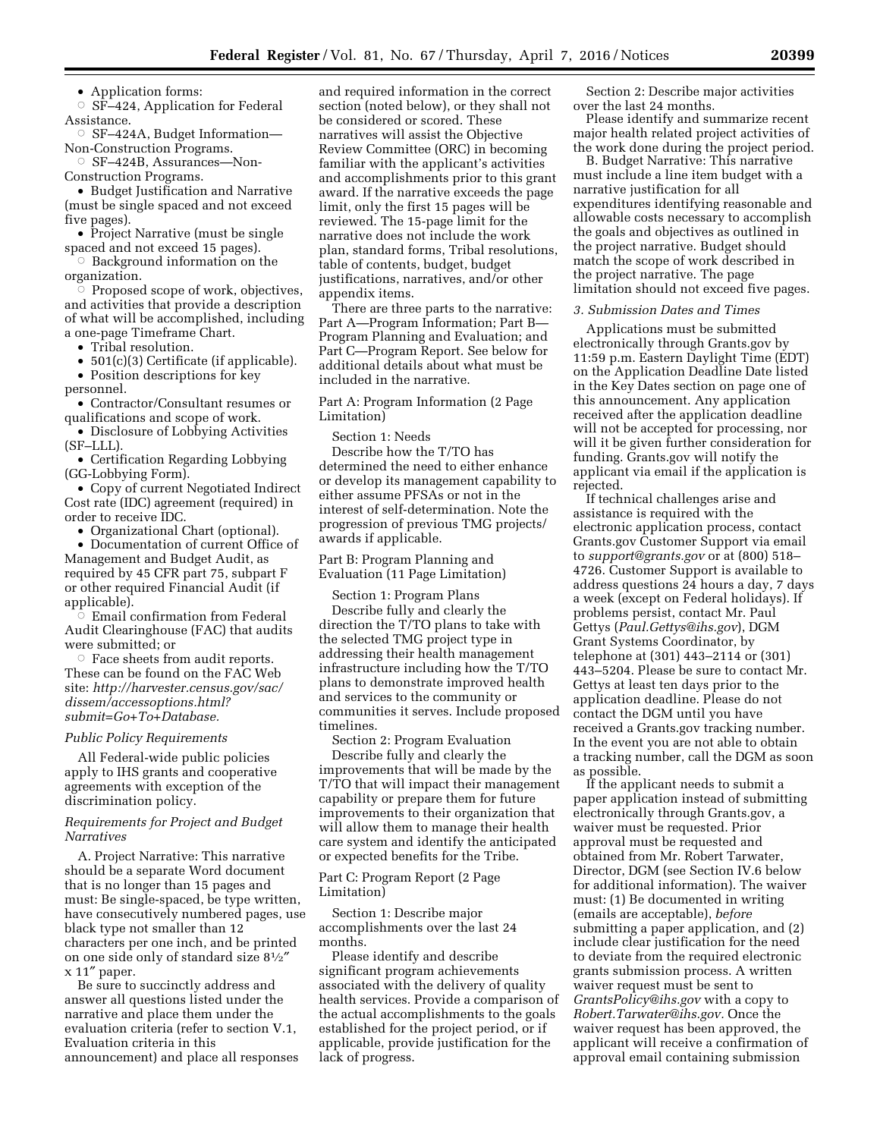• Application forms:

 $\circ$  SF-424, Application for Federal Assistance.

Æ SF–424A, Budget Information— Non-Construction Programs.

Æ SF–424B, Assurances—Non-Construction Programs.

• Budget Justification and Narrative (must be single spaced and not exceed five pages).

• Project Narrative (must be single spaced and not exceed 15 pages).

 $\circ$  Background information on the organization.

 $\heartsuit$  Proposed scope of work, objectives, and activities that provide a description of what will be accomplished, including a one-page Timeframe Chart.

• Tribal resolution.

• 501(c)(3) Certificate (if applicable). • Position descriptions for key

personnel. • Contractor/Consultant resumes or qualifications and scope of work.

• Disclosure of Lobbying Activities (SF–LLL).

• Certification Regarding Lobbying (GG-Lobbying Form).

• Copy of current Negotiated Indirect Cost rate (IDC) agreement (required) in order to receive IDC.

• Organizational Chart (optional).

• Documentation of current Office of Management and Budget Audit, as required by 45 CFR part 75, subpart F or other required Financial Audit (if applicable).

 $\vec{\circ}$  Email confirmation from Federal Audit Clearinghouse (FAC) that audits were submitted; or

 $\circ$  Face sheets from audit reports. These can be found on the FAC Web site: *[http://harvester.census.gov/sac/](http://harvester.census.gov/sac/dissem/accessoptions.html?submit=Go+To+Database) [dissem/accessoptions.html?](http://harvester.census.gov/sac/dissem/accessoptions.html?submit=Go+To+Database) submit=Go+To+Database.* 

# *Public Policy Requirements*

All Federal-wide public policies apply to IHS grants and cooperative agreements with exception of the discrimination policy.

# *Requirements for Project and Budget Narratives*

A. Project Narrative: This narrative should be a separate Word document that is no longer than 15 pages and must: Be single-spaced, be type written, have consecutively numbered pages, use black type not smaller than 12 characters per one inch, and be printed on one side only of standard size 81⁄2″ x 11″ paper.

Be sure to succinctly address and answer all questions listed under the narrative and place them under the evaluation criteria (refer to section V.1, Evaluation criteria in this announcement) and place all responses

and required information in the correct section (noted below), or they shall not be considered or scored. These narratives will assist the Objective Review Committee (ORC) in becoming familiar with the applicant's activities and accomplishments prior to this grant award. If the narrative exceeds the page limit, only the first 15 pages will be reviewed. The 15-page limit for the narrative does not include the work plan, standard forms, Tribal resolutions, table of contents, budget, budget justifications, narratives, and/or other appendix items.

There are three parts to the narrative: Part A—Program Information; Part B— Program Planning and Evaluation; and Part C—Program Report. See below for additional details about what must be included in the narrative.

Part A: Program Information (2 Page Limitation)

Section 1: Needs

Describe how the T/TO has determined the need to either enhance or develop its management capability to either assume PFSAs or not in the interest of self-determination. Note the progression of previous TMG projects/ awards if applicable.

Part B: Program Planning and Evaluation (11 Page Limitation)

Section 1: Program Plans Describe fully and clearly the direction the T/TO plans to take with the selected TMG project type in addressing their health management infrastructure including how the T/TO plans to demonstrate improved health and services to the community or communities it serves. Include proposed timelines.

Section 2: Program Evaluation Describe fully and clearly the improvements that will be made by the T/TO that will impact their management capability or prepare them for future improvements to their organization that will allow them to manage their health care system and identify the anticipated or expected benefits for the Tribe.

Part C: Program Report (2 Page Limitation)

Section 1: Describe major accomplishments over the last 24 months.

Please identify and describe significant program achievements associated with the delivery of quality health services. Provide a comparison of the actual accomplishments to the goals established for the project period, or if applicable, provide justification for the lack of progress.

Section 2: Describe major activities over the last 24 months.

Please identify and summarize recent major health related project activities of the work done during the project period.

B. Budget Narrative: This narrative must include a line item budget with a narrative justification for all expenditures identifying reasonable and allowable costs necessary to accomplish the goals and objectives as outlined in the project narrative. Budget should match the scope of work described in the project narrative. The page limitation should not exceed five pages.

### *3. Submission Dates and Times*

Applications must be submitted electronically through Grants.gov by 11:59 p.m. Eastern Daylight Time (EDT) on the Application Deadline Date listed in the Key Dates section on page one of this announcement. Any application received after the application deadline will not be accepted for processing, nor will it be given further consideration for funding. Grants.gov will notify the applicant via email if the application is rejected.

If technical challenges arise and assistance is required with the electronic application process, contact Grants.gov Customer Support via email to *[support@grants.gov](mailto:support@grants.gov)* or at (800) 518– 4726. Customer Support is available to address questions 24 hours a day, 7 days a week (except on Federal holidays). If problems persist, contact Mr. Paul Gettys (*[Paul.Gettys@ihs.gov](mailto:Paul.Gettys@ihs.gov)*), DGM Grant Systems Coordinator, by telephone at (301) 443–2114 or (301) 443–5204. Please be sure to contact Mr. Gettys at least ten days prior to the application deadline. Please do not contact the DGM until you have received a Grants.gov tracking number. In the event you are not able to obtain a tracking number, call the DGM as soon as possible.

If the applicant needs to submit a paper application instead of submitting electronically through Grants.gov, a waiver must be requested. Prior approval must be requested and obtained from Mr. Robert Tarwater, Director, DGM (see Section IV.6 below for additional information). The waiver must: (1) Be documented in writing (emails are acceptable), *before*  submitting a paper application, and (2) include clear justification for the need to deviate from the required electronic grants submission process. A written waiver request must be sent to *[GrantsPolicy@ihs.gov](mailto:GrantsPolicy@ihs.gov)* with a copy to *[Robert.Tarwater@ihs.gov.](mailto:Robert.Tarwater@ihs.gov)* Once the waiver request has been approved, the applicant will receive a confirmation of approval email containing submission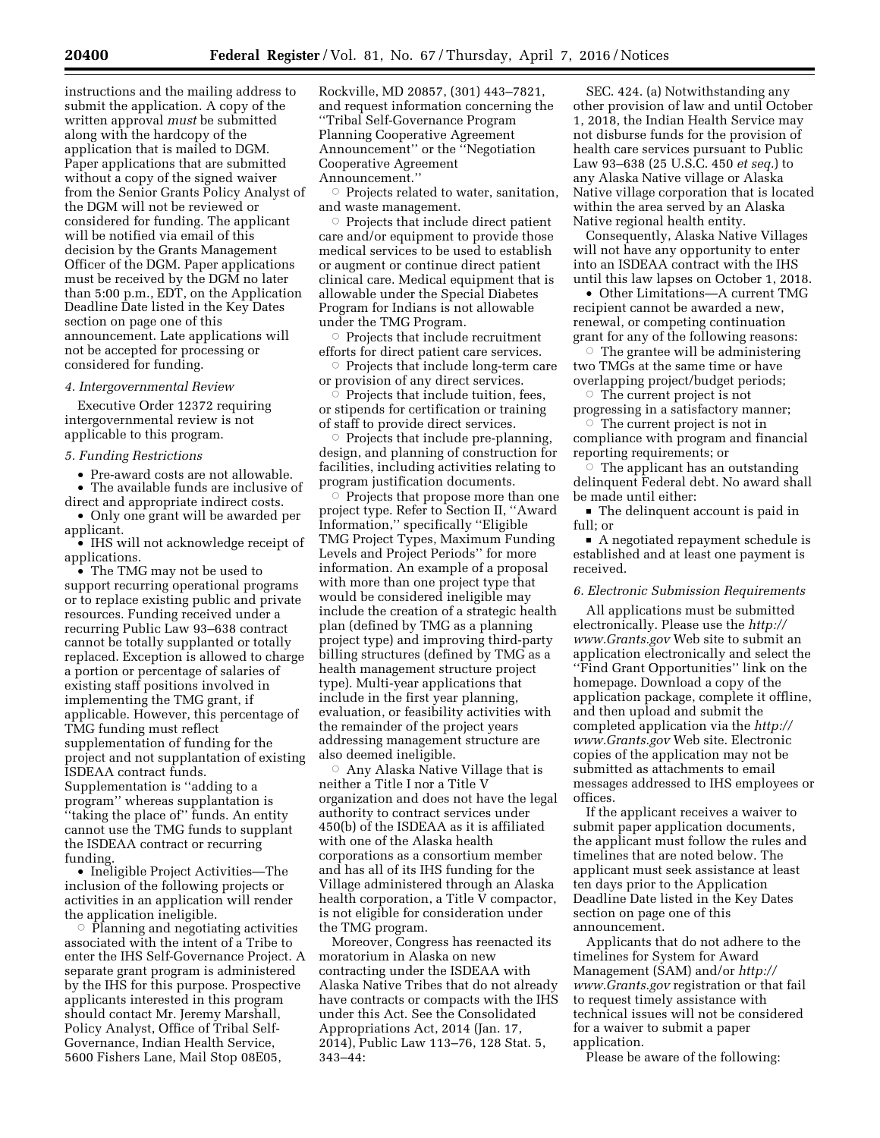instructions and the mailing address to submit the application. A copy of the written approval *must* be submitted along with the hardcopy of the application that is mailed to DGM. Paper applications that are submitted without a copy of the signed waiver from the Senior Grants Policy Analyst of the DGM will not be reviewed or considered for funding. The applicant will be notified via email of this decision by the Grants Management Officer of the DGM. Paper applications must be received by the DGM no later than 5:00 p.m., EDT, on the Application Deadline Date listed in the Key Dates section on page one of this announcement. Late applications will not be accepted for processing or considered for funding.

## *4. Intergovernmental Review*

Executive Order 12372 requiring intergovernmental review is not applicable to this program.

## *5. Funding Restrictions*

• Pre-award costs are not allowable.

• The available funds are inclusive of direct and appropriate indirect costs.

• Only one grant will be awarded per applicant.

• IHS will not acknowledge receipt of applications.

• The TMG may not be used to support recurring operational programs or to replace existing public and private resources. Funding received under a recurring Public Law 93–638 contract cannot be totally supplanted or totally replaced. Exception is allowed to charge a portion or percentage of salaries of existing staff positions involved in implementing the TMG grant, if applicable. However, this percentage of TMG funding must reflect supplementation of funding for the project and not supplantation of existing ISDEAA contract funds. Supplementation is ''adding to a program'' whereas supplantation is ''taking the place of'' funds. An entity cannot use the TMG funds to supplant the ISDEAA contract or recurring funding.

• Ineligible Project Activities—The inclusion of the following projects or activities in an application will render the application ineligible.

 $\circ$  Planning and negotiating activities associated with the intent of a Tribe to enter the IHS Self-Governance Project. A separate grant program is administered by the IHS for this purpose. Prospective applicants interested in this program should contact Mr. Jeremy Marshall, Policy Analyst, Office of Tribal Self-Governance, Indian Health Service, 5600 Fishers Lane, Mail Stop 08E05,

Rockville, MD 20857, (301) 443–7821, and request information concerning the ''Tribal Self-Governance Program Planning Cooperative Agreement Announcement'' or the ''Negotiation Cooperative Agreement Announcement.''

 $\circ$  Projects related to water, sanitation, and waste management.

 $\circ$  Projects that include direct patient care and/or equipment to provide those medical services to be used to establish or augment or continue direct patient clinical care. Medical equipment that is allowable under the Special Diabetes Program for Indians is not allowable under the TMG Program.

 $\circ$  Projects that include recruitment efforts for direct patient care services.

 $\circ$  Projects that include long-term care or provision of any direct services.

 $\overline{\circ}$  Projects that include tuition, fees, or stipends for certification or training of staff to provide direct services.

 $\circ$  Projects that include pre-planning, design, and planning of construction for facilities, including activities relating to program justification documents.

 $\circ$  Projects that propose more than one project type. Refer to Section II, ''Award Information,'' specifically ''Eligible TMG Project Types, Maximum Funding Levels and Project Periods'' for more information. An example of a proposal with more than one project type that would be considered ineligible may include the creation of a strategic health plan (defined by TMG as a planning project type) and improving third-party billing structures (defined by TMG as a health management structure project type). Multi-year applications that include in the first year planning, evaluation, or feasibility activities with the remainder of the project years addressing management structure are also deemed ineligible.

 $\circ~$  Any Alaska Native Village that is neither a Title I nor a Title V organization and does not have the legal authority to contract services under 450(b) of the ISDEAA as it is affiliated with one of the Alaska health corporations as a consortium member and has all of its IHS funding for the Village administered through an Alaska health corporation, a Title V compactor, is not eligible for consideration under the TMG program.

Moreover, Congress has reenacted its moratorium in Alaska on new contracting under the ISDEAA with Alaska Native Tribes that do not already have contracts or compacts with the IHS under this Act. See the Consolidated Appropriations Act, 2014 (Jan. 17, 2014), Public Law 113–76, 128 Stat. 5, 343–44:

SEC. 424. (a) Notwithstanding any other provision of law and until October 1, 2018, the Indian Health Service may not disburse funds for the provision of health care services pursuant to Public Law 93–638 (25 U.S.C. 450 *et seq.*) to any Alaska Native village or Alaska Native village corporation that is located within the area served by an Alaska Native regional health entity.

Consequently, Alaska Native Villages will not have any opportunity to enter into an ISDEAA contract with the IHS until this law lapses on October 1, 2018.

• Other Limitations—A current TMG recipient cannot be awarded a new, renewal, or competing continuation grant for any of the following reasons:

 $\circ$  The grantee will be administering two TMGs at the same time or have overlapping project/budget periods;

 $\circ$  The current project is not progressing in a satisfactory manner;

 $\circ$  The current project is not in compliance with program and financial reporting requirements; or

 $\circ$  The applicant has an outstanding delinquent Federal debt. No award shall be made until either:

 $\blacksquare$  The delinquent account is paid in full; or

 $\blacksquare$  A negotiated repayment schedule is established and at least one payment is received.

# *6. Electronic Submission Requirements*

All applications must be submitted electronically. Please use the *[http://](http://www.Grants.gov) [www.Grants.gov](http://www.Grants.gov)* Web site to submit an application electronically and select the ''Find Grant Opportunities'' link on the homepage. Download a copy of the application package, complete it offline, and then upload and submit the completed application via the *[http://](http://www.Grants.gov) [www.Grants.gov](http://www.Grants.gov)* Web site. Electronic copies of the application may not be submitted as attachments to email messages addressed to IHS employees or offices.

If the applicant receives a waiver to submit paper application documents, the applicant must follow the rules and timelines that are noted below. The applicant must seek assistance at least ten days prior to the Application Deadline Date listed in the Key Dates section on page one of this announcement.

Applicants that do not adhere to the timelines for System for Award Management (SAM) and/or *[http://](http://www.Grants.gov) [www.Grants.gov](http://www.Grants.gov)* registration or that fail to request timely assistance with technical issues will not be considered for a waiver to submit a paper application.

Please be aware of the following: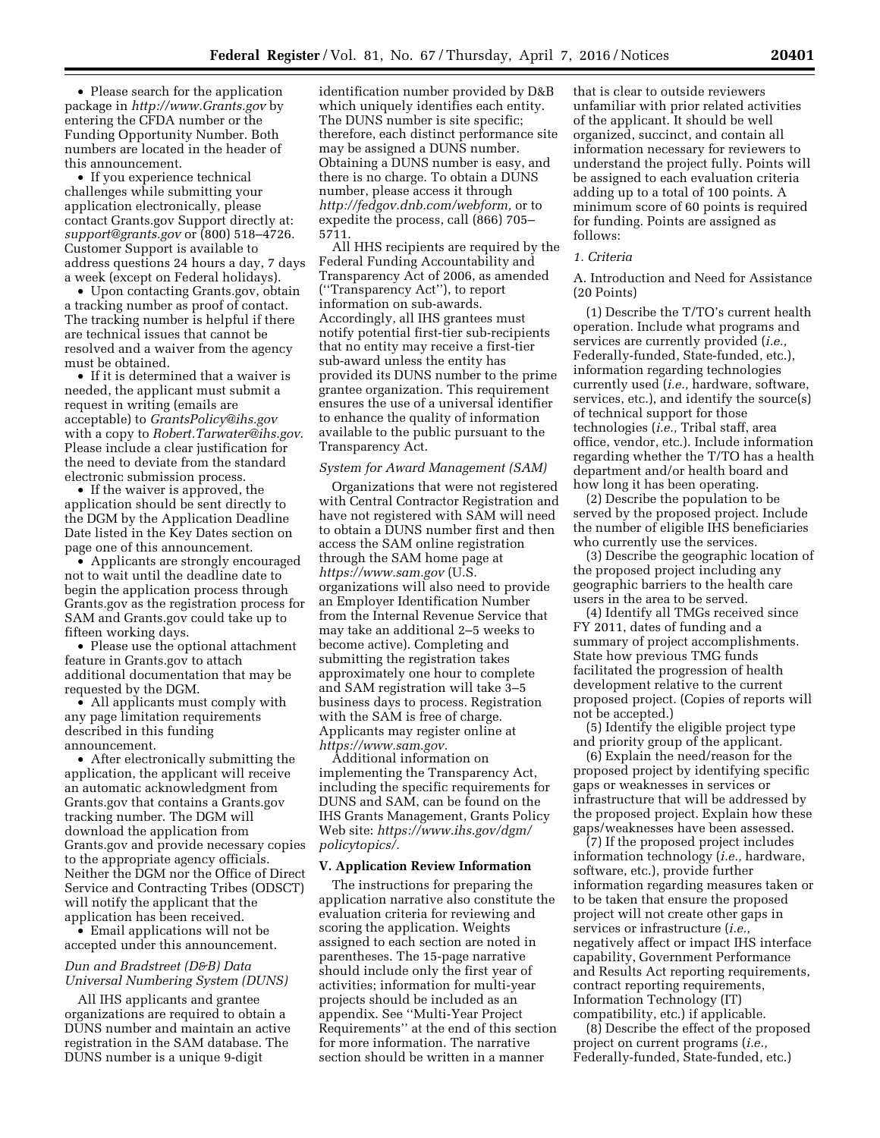• Please search for the application package in *<http://www.Grants.gov>* by entering the CFDA number or the Funding Opportunity Number. Both numbers are located in the header of this announcement.

• If you experience technical challenges while submitting your application electronically, please contact Grants.gov Support directly at: *[support@grants.gov](mailto:support@grants.gov)* or (800) 518–4726. Customer Support is available to address questions 24 hours a day, 7 days a week (except on Federal holidays).

• Upon contacting Grants.gov, obtain a tracking number as proof of contact. The tracking number is helpful if there are technical issues that cannot be resolved and a waiver from the agency must be obtained.

• If it is determined that a waiver is needed, the applicant must submit a request in writing (emails are acceptable) to *[GrantsPolicy@ihs.gov](mailto:GrantsPolicy@ihs.gov)*  with a copy to *[Robert.Tarwater@ihs.gov](mailto:Robert.Tarwater@ihs.gov)*. Please include a clear justification for the need to deviate from the standard electronic submission process.

• If the waiver is approved, the application should be sent directly to the DGM by the Application Deadline Date listed in the Key Dates section on page one of this announcement.

• Applicants are strongly encouraged not to wait until the deadline date to begin the application process through Grants.gov as the registration process for SAM and Grants.gov could take up to fifteen working days.

• Please use the optional attachment feature in Grants.gov to attach additional documentation that may be requested by the DGM.

• All applicants must comply with any page limitation requirements described in this funding announcement.

• After electronically submitting the application, the applicant will receive an automatic acknowledgment from Grants.gov that contains a Grants.gov tracking number. The DGM will download the application from Grants.gov and provide necessary copies to the appropriate agency officials. Neither the DGM nor the Office of Direct Service and Contracting Tribes (ODSCT) will notify the applicant that the application has been received.

• Email applications will not be accepted under this announcement.

# *Dun and Bradstreet (D&B) Data Universal Numbering System (DUNS)*

All IHS applicants and grantee organizations are required to obtain a DUNS number and maintain an active registration in the SAM database. The DUNS number is a unique 9-digit

identification number provided by D&B which uniquely identifies each entity. The DUNS number is site specific; therefore, each distinct performance site may be assigned a DUNS number. Obtaining a DUNS number is easy, and there is no charge. To obtain a DUNS number, please access it through *[http://fedgov.dnb.com/webform,](http://fedgov.dnb.com/webform)* or to expedite the process, call (866) 705– 5711.

All HHS recipients are required by the Federal Funding Accountability and Transparency Act of 2006, as amended (''Transparency Act''), to report information on sub-awards. Accordingly, all IHS grantees must notify potential first-tier sub-recipients that no entity may receive a first-tier sub-award unless the entity has provided its DUNS number to the prime grantee organization. This requirement ensures the use of a universal identifier to enhance the quality of information available to the public pursuant to the Transparency Act.

#### *System for Award Management (SAM)*

Organizations that were not registered with Central Contractor Registration and have not registered with SAM will need to obtain a DUNS number first and then access the SAM online registration through the SAM home page at *<https://www.sam.gov>* (U.S. organizations will also need to provide an Employer Identification Number from the Internal Revenue Service that may take an additional 2–5 weeks to become active). Completing and submitting the registration takes approximately one hour to complete and SAM registration will take 3–5 business days to process. Registration with the SAM is free of charge. Applicants may register online at *[https://www.sam.gov.](https://www.sam.gov)* 

Additional information on implementing the Transparency Act, including the specific requirements for DUNS and SAM, can be found on the IHS Grants Management, Grants Policy Web site: *[https://www.ihs.gov/dgm/](https://www.ihs.gov/dgm/policytopics/) [policytopics/.](https://www.ihs.gov/dgm/policytopics/)* 

## **V. Application Review Information**

The instructions for preparing the application narrative also constitute the evaluation criteria for reviewing and scoring the application. Weights assigned to each section are noted in parentheses. The 15-page narrative should include only the first year of activities; information for multi-year projects should be included as an appendix. See ''Multi-Year Project Requirements'' at the end of this section for more information. The narrative section should be written in a manner

that is clear to outside reviewers unfamiliar with prior related activities of the applicant. It should be well organized, succinct, and contain all information necessary for reviewers to understand the project fully. Points will be assigned to each evaluation criteria adding up to a total of 100 points. A minimum score of 60 points is required for funding. Points are assigned as follows:

### *1. Criteria*

A. Introduction and Need for Assistance (20 Points)

(1) Describe the T/TO's current health operation. Include what programs and services are currently provided (*i.e.,*  Federally-funded, State-funded, etc.), information regarding technologies currently used (*i.e.,* hardware, software, services, etc.), and identify the source(s) of technical support for those technologies (*i.e.,* Tribal staff, area office, vendor, etc.). Include information regarding whether the T/TO has a health department and/or health board and how long it has been operating.

(2) Describe the population to be served by the proposed project. Include the number of eligible IHS beneficiaries who currently use the services.

(3) Describe the geographic location of the proposed project including any geographic barriers to the health care users in the area to be served.

(4) Identify all TMGs received since FY 2011, dates of funding and a summary of project accomplishments. State how previous TMG funds facilitated the progression of health development relative to the current proposed project. (Copies of reports will not be accepted.)

(5) Identify the eligible project type and priority group of the applicant.

(6) Explain the need/reason for the proposed project by identifying specific gaps or weaknesses in services or infrastructure that will be addressed by the proposed project. Explain how these gaps/weaknesses have been assessed.

(7) If the proposed project includes information technology (*i.e.,* hardware, software, etc.), provide further information regarding measures taken or to be taken that ensure the proposed project will not create other gaps in services or infrastructure (*i.e.,*  negatively affect or impact IHS interface capability, Government Performance and Results Act reporting requirements, contract reporting requirements, Information Technology (IT) compatibility, etc.) if applicable.

(8) Describe the effect of the proposed project on current programs (*i.e.,*  Federally-funded, State-funded, etc.)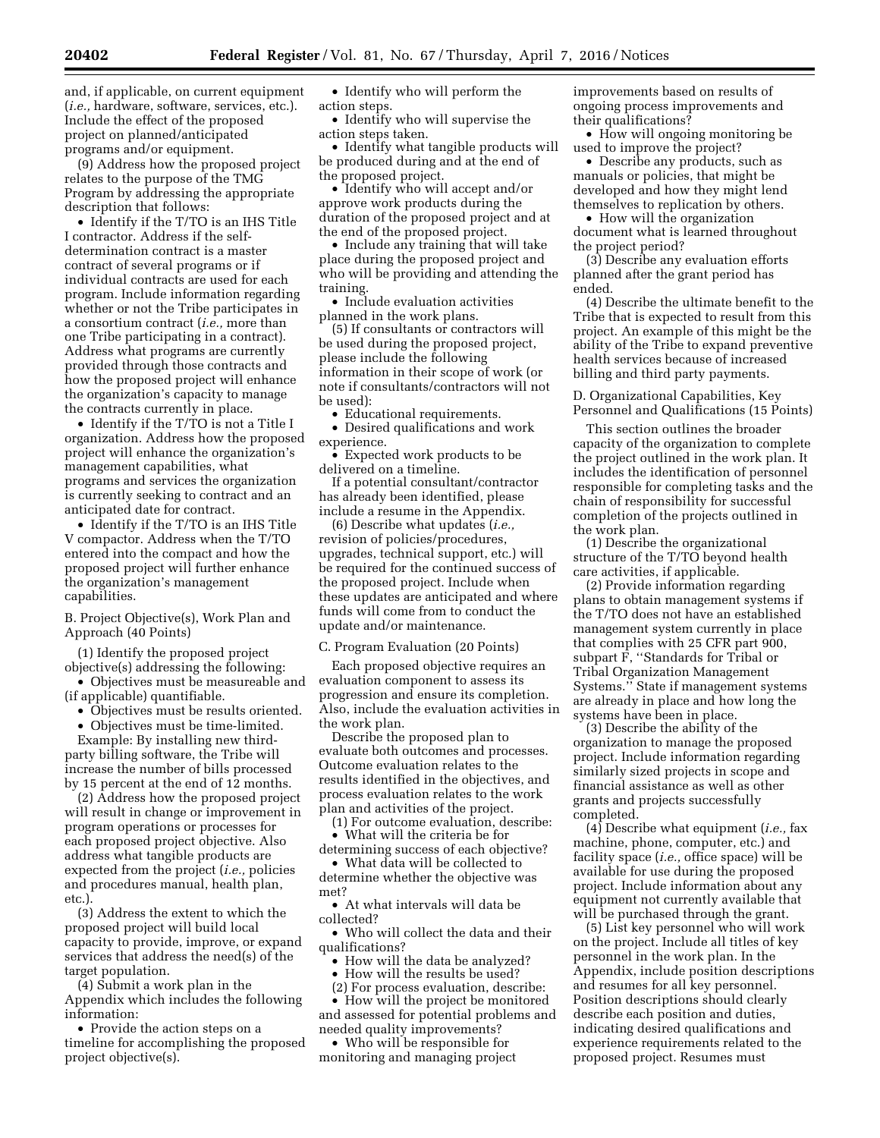and, if applicable, on current equipment (*i.e.,* hardware, software, services, etc.). Include the effect of the proposed project on planned/anticipated programs and/or equipment.

(9) Address how the proposed project relates to the purpose of the TMG Program by addressing the appropriate description that follows:

• Identify if the T/TO is an IHS Title I contractor. Address if the selfdetermination contract is a master contract of several programs or if individual contracts are used for each program. Include information regarding whether or not the Tribe participates in a consortium contract (*i.e.,* more than one Tribe participating in a contract). Address what programs are currently provided through those contracts and how the proposed project will enhance the organization's capacity to manage the contracts currently in place.

• Identify if the T/TO is not a Title I organization. Address how the proposed project will enhance the organization's management capabilities, what programs and services the organization is currently seeking to contract and an anticipated date for contract.

• Identify if the T/TO is an IHS Title V compactor. Address when the T/TO entered into the compact and how the proposed project will further enhance the organization's management capabilities.

B. Project Objective(s), Work Plan and Approach (40 Points)

(1) Identify the proposed project objective(s) addressing the following:

• Objectives must be measureable and (if applicable) quantifiable.

• Objectives must be results oriented.

• Objectives must be time-limited.

Example: By installing new thirdparty billing software, the Tribe will increase the number of bills processed by 15 percent at the end of 12 months.

(2) Address how the proposed project will result in change or improvement in program operations or processes for each proposed project objective. Also address what tangible products are expected from the project (*i.e.,* policies and procedures manual, health plan, etc.).

(3) Address the extent to which the proposed project will build local capacity to provide, improve, or expand services that address the need(s) of the target population.

(4) Submit a work plan in the Appendix which includes the following information:

• Provide the action steps on a timeline for accomplishing the proposed project objective(s).

• Identify who will perform the action steps.

• Identify who will supervise the action steps taken.

• Identify what tangible products will be produced during and at the end of the proposed project.

• Identify who will accept and/or approve work products during the duration of the proposed project and at the end of the proposed project.

• Include any training that will take place during the proposed project and who will be providing and attending the training.

• Include evaluation activities planned in the work plans.

(5) If consultants or contractors will be used during the proposed project, please include the following information in their scope of work (or note if consultants/contractors will not be used):

• Educational requirements.

• Desired qualifications and work experience.

• Expected work products to be delivered on a timeline.

If a potential consultant/contractor has already been identified, please include a resume in the Appendix.

(6) Describe what updates (*i.e.,*  revision of policies/procedures, upgrades, technical support, etc.) will be required for the continued success of the proposed project. Include when these updates are anticipated and where funds will come from to conduct the update and/or maintenance.

C. Program Evaluation (20 Points)

Each proposed objective requires an evaluation component to assess its progression and ensure its completion. Also, include the evaluation activities in the work plan.

Describe the proposed plan to evaluate both outcomes and processes. Outcome evaluation relates to the results identified in the objectives, and process evaluation relates to the work plan and activities of the project.

(1) For outcome evaluation, describe: • What will the criteria be for

determining success of each objective? • What data will be collected to

determine whether the objective was met? • At what intervals will data be

collected?

• Who will collect the data and their qualifications?

• How will the data be analyzed?

- How will the results be used?
- (2) For process evaluation, describe:

• How will the project be monitored and assessed for potential problems and needed quality improvements?

• Who will be responsible for monitoring and managing project improvements based on results of ongoing process improvements and their qualifications?

• How will ongoing monitoring be used to improve the project?

• Describe any products, such as manuals or policies, that might be developed and how they might lend themselves to replication by others.

• How will the organization document what is learned throughout the project period?

(3) Describe any evaluation efforts planned after the grant period has ended.

(4) Describe the ultimate benefit to the Tribe that is expected to result from this project. An example of this might be the ability of the Tribe to expand preventive health services because of increased billing and third party payments.

D. Organizational Capabilities, Key Personnel and Qualifications (15 Points)

This section outlines the broader capacity of the organization to complete the project outlined in the work plan. It includes the identification of personnel responsible for completing tasks and the chain of responsibility for successful completion of the projects outlined in the work plan.

(1) Describe the organizational structure of the T/TO beyond health care activities, if applicable.

(2) Provide information regarding plans to obtain management systems if the T/TO does not have an established management system currently in place that complies with 25 CFR part 900, subpart F, ''Standards for Tribal or Tribal Organization Management Systems.'' State if management systems are already in place and how long the systems have been in place.

(3) Describe the ability of the organization to manage the proposed project. Include information regarding similarly sized projects in scope and financial assistance as well as other grants and projects successfully completed.

(4) Describe what equipment (*i.e.,* fax machine, phone, computer, etc.) and facility space (*i.e.,* office space) will be available for use during the proposed project. Include information about any equipment not currently available that will be purchased through the grant.

(5) List key personnel who will work on the project. Include all titles of key personnel in the work plan. In the Appendix, include position descriptions and resumes for all key personnel. Position descriptions should clearly describe each position and duties, indicating desired qualifications and experience requirements related to the proposed project. Resumes must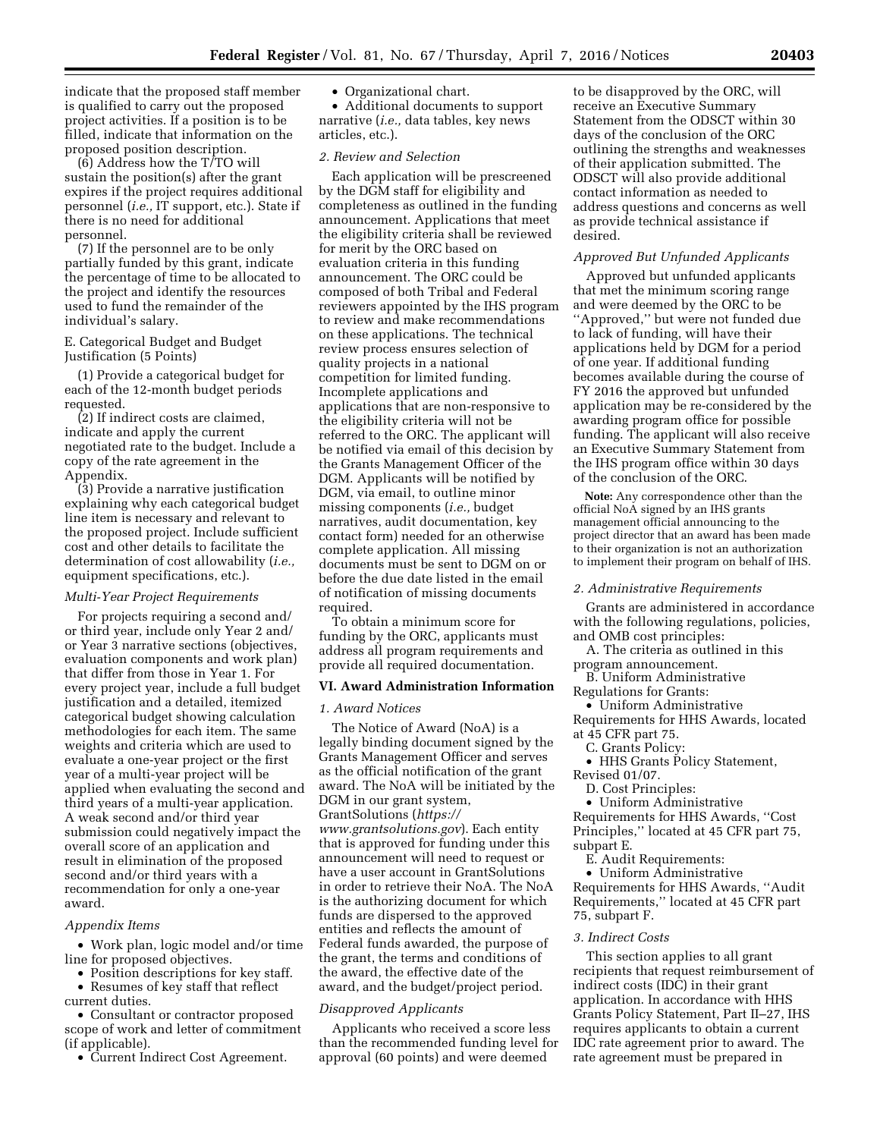indicate that the proposed staff member is qualified to carry out the proposed project activities. If a position is to be filled, indicate that information on the proposed position description.

(6) Address how the T/TO will sustain the position(s) after the grant expires if the project requires additional personnel (*i.e.,* IT support, etc.). State if there is no need for additional personnel.

(7) If the personnel are to be only partially funded by this grant, indicate the percentage of time to be allocated to the project and identify the resources used to fund the remainder of the individual's salary.

# E. Categorical Budget and Budget Justification (5 Points)

(1) Provide a categorical budget for each of the 12-month budget periods requested.

(2) If indirect costs are claimed, indicate and apply the current negotiated rate to the budget. Include a copy of the rate agreement in the Appendix.

(3) Provide a narrative justification explaining why each categorical budget line item is necessary and relevant to the proposed project. Include sufficient cost and other details to facilitate the determination of cost allowability (*i.e.,*  equipment specifications, etc.).

## *Multi-Year Project Requirements*

For projects requiring a second and/ or third year, include only Year 2 and/ or Year 3 narrative sections (objectives, evaluation components and work plan) that differ from those in Year 1. For every project year, include a full budget justification and a detailed, itemized categorical budget showing calculation methodologies for each item. The same weights and criteria which are used to evaluate a one-year project or the first year of a multi-year project will be applied when evaluating the second and third years of a multi-year application. A weak second and/or third year submission could negatively impact the overall score of an application and result in elimination of the proposed second and/or third years with a recommendation for only a one-year award.

#### *Appendix Items*

• Work plan, logic model and/or time line for proposed objectives.

- Position descriptions for key staff.
- Resumes of key staff that reflect current duties.

• Consultant or contractor proposed scope of work and letter of commitment (if applicable).

• Current Indirect Cost Agreement.

• Organizational chart.

• Additional documents to support narrative (*i.e.,* data tables, key news articles, etc.).

# *2. Review and Selection*

Each application will be prescreened by the DGM staff for eligibility and completeness as outlined in the funding announcement. Applications that meet the eligibility criteria shall be reviewed for merit by the ORC based on evaluation criteria in this funding announcement. The ORC could be composed of both Tribal and Federal reviewers appointed by the IHS program to review and make recommendations on these applications. The technical review process ensures selection of quality projects in a national competition for limited funding. Incomplete applications and applications that are non-responsive to the eligibility criteria will not be referred to the ORC. The applicant will be notified via email of this decision by the Grants Management Officer of the DGM. Applicants will be notified by DGM, via email, to outline minor missing components (*i.e.,* budget narratives, audit documentation, key contact form) needed for an otherwise complete application. All missing documents must be sent to DGM on or before the due date listed in the email of notification of missing documents required.

To obtain a minimum score for funding by the ORC, applicants must address all program requirements and provide all required documentation.

# **VI. Award Administration Information**

## *1. Award Notices*

The Notice of Award (NoA) is a legally binding document signed by the Grants Management Officer and serves as the official notification of the grant award. The NoA will be initiated by the DGM in our grant system, GrantSolutions (*[https://](https://www.grantsolutions.gov) [www.grantsolutions.gov](https://www.grantsolutions.gov)*). Each entity that is approved for funding under this announcement will need to request or have a user account in GrantSolutions in order to retrieve their NoA. The NoA is the authorizing document for which funds are dispersed to the approved entities and reflects the amount of Federal funds awarded, the purpose of the grant, the terms and conditions of the award, the effective date of the award, and the budget/project period.

## *Disapproved Applicants*

Applicants who received a score less than the recommended funding level for approval (60 points) and were deemed

to be disapproved by the ORC, will receive an Executive Summary Statement from the ODSCT within 30 days of the conclusion of the ORC outlining the strengths and weaknesses of their application submitted. The ODSCT will also provide additional contact information as needed to address questions and concerns as well as provide technical assistance if desired.

# *Approved But Unfunded Applicants*

Approved but unfunded applicants that met the minimum scoring range and were deemed by the ORC to be ''Approved,'' but were not funded due to lack of funding, will have their applications held by DGM for a period of one year. If additional funding becomes available during the course of FY 2016 the approved but unfunded application may be re-considered by the awarding program office for possible funding. The applicant will also receive an Executive Summary Statement from the IHS program office within 30 days of the conclusion of the ORC.

**Note:** Any correspondence other than the official NoA signed by an IHS grants management official announcing to the project director that an award has been made to their organization is not an authorization to implement their program on behalf of IHS.

### *2. Administrative Requirements*

Grants are administered in accordance with the following regulations, policies, and OMB cost principles:

- A. The criteria as outlined in this program announcement.
- B. Uniform Administrative
- Regulations for Grants:
- Uniform Administrative
- Requirements for HHS Awards, located at 45 CFR part 75.
	- C. Grants Policy:
- HHS Grants Policy Statement, Revised 01/07.
	- D. Cost Principles:
	- Uniform Administrative

Requirements for HHS Awards, ''Cost Principles,'' located at 45 CFR part 75, subpart E.

E. Audit Requirements:

• Uniform Administrative Requirements for HHS Awards, ''Audit Requirements,'' located at 45 CFR part 75, subpart F.

#### *3. Indirect Costs*

This section applies to all grant recipients that request reimbursement of indirect costs (IDC) in their grant application. In accordance with HHS Grants Policy Statement, Part II–27, IHS requires applicants to obtain a current IDC rate agreement prior to award. The rate agreement must be prepared in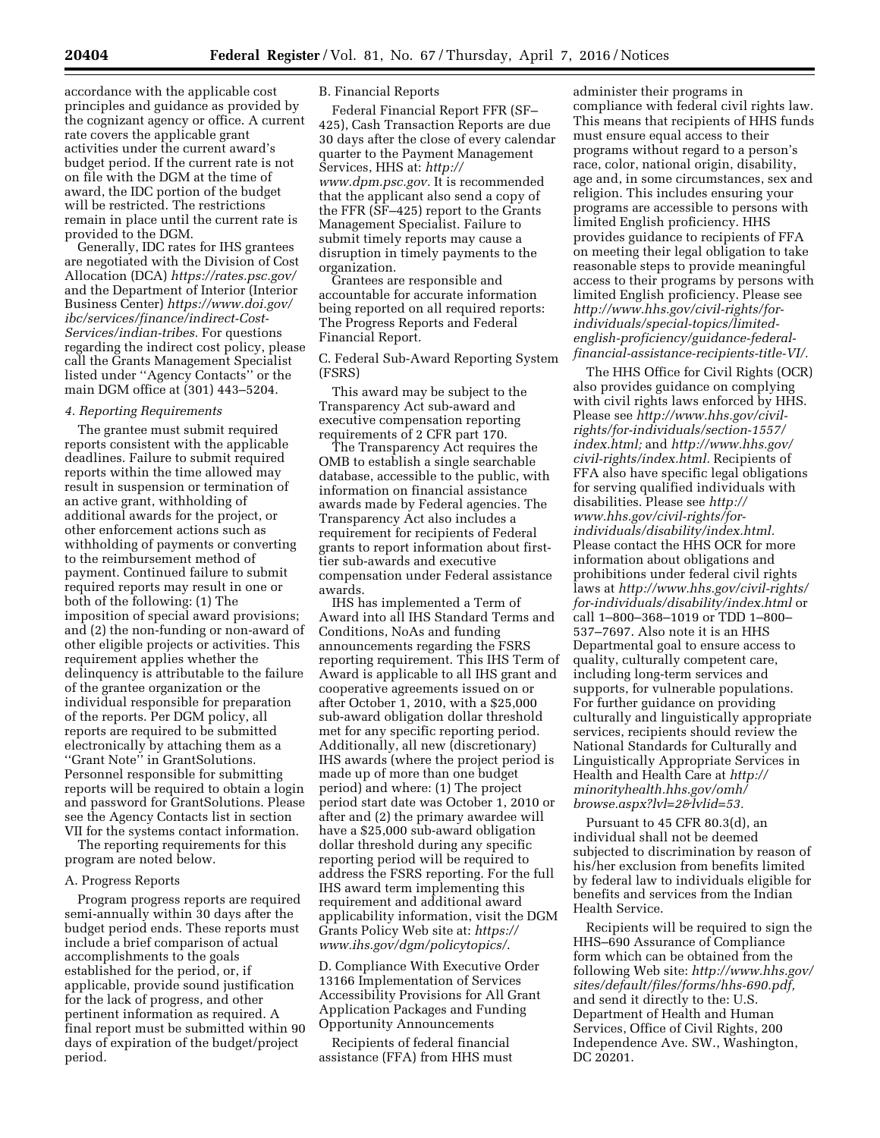accordance with the applicable cost principles and guidance as provided by the cognizant agency or office. A current rate covers the applicable grant activities under the current award's budget period. If the current rate is not on file with the DGM at the time of award, the IDC portion of the budget will be restricted. The restrictions remain in place until the current rate is provided to the DGM.

Generally, IDC rates for IHS grantees are negotiated with the Division of Cost Allocation (DCA) *<https://rates.psc.gov/>*  and the Department of Interior (Interior Business Center) *[https://www.doi.gov/](https://www.doi.gov/ibc/services/finance/indirect-Cost-Services/indian-tribes) [ibc/services/finance/indirect-Cost-](https://www.doi.gov/ibc/services/finance/indirect-Cost-Services/indian-tribes)[Services/indian-tribes.](https://www.doi.gov/ibc/services/finance/indirect-Cost-Services/indian-tribes)* For questions regarding the indirect cost policy, please call the Grants Management Specialist listed under ''Agency Contacts'' or the main DGM office at (301) 443–5204.

### *4. Reporting Requirements*

The grantee must submit required reports consistent with the applicable deadlines. Failure to submit required reports within the time allowed may result in suspension or termination of an active grant, withholding of additional awards for the project, or other enforcement actions such as withholding of payments or converting to the reimbursement method of payment. Continued failure to submit required reports may result in one or both of the following: (1) The imposition of special award provisions; and (2) the non-funding or non-award of other eligible projects or activities. This requirement applies whether the delinquency is attributable to the failure of the grantee organization or the individual responsible for preparation of the reports. Per DGM policy, all reports are required to be submitted electronically by attaching them as a ''Grant Note'' in GrantSolutions. Personnel responsible for submitting reports will be required to obtain a login and password for GrantSolutions. Please see the Agency Contacts list in section VII for the systems contact information.

The reporting requirements for this program are noted below.

#### A. Progress Reports

Program progress reports are required semi-annually within 30 days after the budget period ends. These reports must include a brief comparison of actual accomplishments to the goals established for the period, or, if applicable, provide sound justification for the lack of progress, and other pertinent information as required. A final report must be submitted within 90 days of expiration of the budget/project period.

# B. Financial Reports

Federal Financial Report FFR (SF– 425), Cash Transaction Reports are due 30 days after the close of every calendar quarter to the Payment Management Services, HHS at: *[http://](http://www.dpm.psc.gov) [www.dpm.psc.gov.](http://www.dpm.psc.gov)* It is recommended that the applicant also send a copy of the FFR (SF–425) report to the Grants Management Specialist. Failure to submit timely reports may cause a disruption in timely payments to the organization.

Grantees are responsible and accountable for accurate information being reported on all required reports: The Progress Reports and Federal Financial Report.

C. Federal Sub-Award Reporting System (FSRS)

This award may be subject to the Transparency Act sub-award and executive compensation reporting requirements of 2 CFR part 170.

The Transparency Act requires the OMB to establish a single searchable database, accessible to the public, with information on financial assistance awards made by Federal agencies. The Transparency Act also includes a requirement for recipients of Federal grants to report information about firsttier sub-awards and executive compensation under Federal assistance awards.

IHS has implemented a Term of Award into all IHS Standard Terms and Conditions, NoAs and funding announcements regarding the FSRS reporting requirement. This IHS Term of Award is applicable to all IHS grant and cooperative agreements issued on or after October 1, 2010, with a \$25,000 sub-award obligation dollar threshold met for any specific reporting period. Additionally, all new (discretionary) IHS awards (where the project period is made up of more than one budget period) and where: (1) The project period start date was October 1, 2010 or after and (2) the primary awardee will have a \$25,000 sub-award obligation dollar threshold during any specific reporting period will be required to address the FSRS reporting. For the full IHS award term implementing this requirement and additional award applicability information, visit the DGM Grants Policy Web site at: *[https://](https://www.ihs.gov/dgm/policytopics/) [www.ihs.gov/dgm/policytopics/](https://www.ihs.gov/dgm/policytopics/)*.

D. Compliance With Executive Order 13166 Implementation of Services Accessibility Provisions for All Grant Application Packages and Funding Opportunity Announcements

Recipients of federal financial assistance (FFA) from HHS must

administer their programs in compliance with federal civil rights law. This means that recipients of HHS funds must ensure equal access to their programs without regard to a person's race, color, national origin, disability, age and, in some circumstances, sex and religion. This includes ensuring your programs are accessible to persons with limited English proficiency. HHS provides guidance to recipients of FFA on meeting their legal obligation to take reasonable steps to provide meaningful access to their programs by persons with limited English proficiency. Please see *http://www.hhs.gov/civil-rights/forindividuals/special-topics/limitedenglish-proficiency/guidance-federal[financial-assistance-recipients-title-VI/.](http://www.hhs.gov/civil-rights/for-individuals/special-topics/limited-english-proficiency/guidance-federal-financial-assistance-recipients-title-VI/)* 

The HHS Office for Civil Rights (OCR) also provides guidance on complying with civil rights laws enforced by HHS. Please see *[http://www.hhs.gov/civil](http://www.hhs.gov/civil-rights/for-individuals/section-1557/index.html)[rights/for-individuals/section-1557/](http://www.hhs.gov/civil-rights/for-individuals/section-1557/index.html) [index.html;](http://www.hhs.gov/civil-rights/for-individuals/section-1557/index.html)* and *[http://www.hhs.gov/](http://www.hhs.gov/civil-rights/index.html) [civil-rights/index.html.](http://www.hhs.gov/civil-rights/index.html)* Recipients of FFA also have specific legal obligations for serving qualified individuals with disabilities. Please see *[http://](http://www.hhs.gov/civil-rights/for-individuals/disability/index.html) [www.hhs.gov/civil-rights/for](http://www.hhs.gov/civil-rights/for-individuals/disability/index.html)[individuals/disability/index.html.](http://www.hhs.gov/civil-rights/for-individuals/disability/index.html)*  Please contact the HHS OCR for more information about obligations and prohibitions under federal civil rights laws at *[http://www.hhs.gov/civil-rights/](http://www.hhs.gov/civil-rights/for-individuals/disability/index.html) [for-individuals/disability/index.html](http://www.hhs.gov/civil-rights/for-individuals/disability/index.html)* or call 1–800–368–1019 or TDD 1–800– 537–7697. Also note it is an HHS Departmental goal to ensure access to quality, culturally competent care, including long-term services and supports, for vulnerable populations. For further guidance on providing culturally and linguistically appropriate services, recipients should review the National Standards for Culturally and Linguistically Appropriate Services in Health and Health Care at *[http://](http://minorityhealth.hhs.gov/omh/browse.aspx?lvl=2&lvlid=53) [minorityhealth.hhs.gov/omh/](http://minorityhealth.hhs.gov/omh/browse.aspx?lvl=2&lvlid=53) [browse.aspx?lvl=2&lvlid=53.](http://minorityhealth.hhs.gov/omh/browse.aspx?lvl=2&lvlid=53)* 

Pursuant to 45 CFR 80.3(d), an individual shall not be deemed subjected to discrimination by reason of his/her exclusion from benefits limited by federal law to individuals eligible for benefits and services from the Indian Health Service.

Recipients will be required to sign the HHS–690 Assurance of Compliance form which can be obtained from the following Web site: *[http://www.hhs.gov/](http://www.hhs.gov/sites/default/files/forms/hhs-690.pdf) [sites/default/files/forms/hhs-690.pdf,](http://www.hhs.gov/sites/default/files/forms/hhs-690.pdf)*  and send it directly to the: U.S. Department of Health and Human Services, Office of Civil Rights, 200 Independence Ave. SW., Washington, DC 20201.